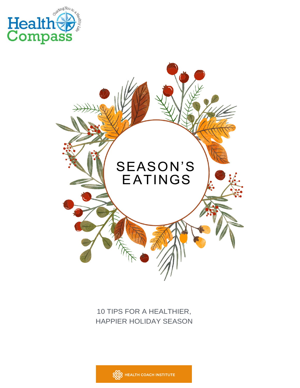



### 10 TIPS FOR A HEALTHIER, HAPPIER HOLIDAY SEASON

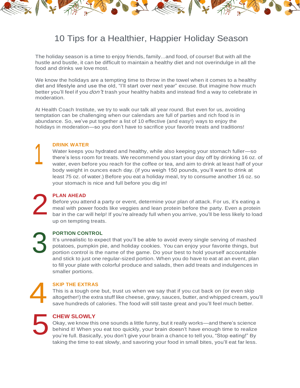

## 10 Tips for a Healthier, Happier Holiday Season

The holiday season is a time to enjoy friends, family...and food, of course! But with all the hustle and bustle, it can be difficult to maintain a healthy diet and not overindulge in all the food and drinks we love most.

We know the holidays are a tempting time to throw in the towel when it comes to a healthy diet and lifestyle and use the old, "I'll start over next year" excuse. But imagine how much better you'll feel if you *don't* trash your healthy habits and instead find a way to celebrate in moderation.

At Health Coach Institute, we try to walk our talk all year round. But even for us, avoiding temptation can be challenging when our calendars are full of parties and rich food is in abundance. So, we've put together a list of 10 effective (and easy!) ways to enjoy the holidays in moderation—so you don't have to sacrifice your favorite treats and traditions!

#### **DRINK WATER**

Water keeps you hydrated and healthy, while also keeping your stomach fuller—so there's less room for treats. We recommend you start your day off by drinking 16 oz. of water, even before you reach for the coffee or tea, and aim to drink at least half of your body weight in ounces each day. (if you weigh 150 pounds, you'll want to drink at least 75 oz. of water.) Before you eat a holiday meal, try to consume another 16 oz. so your stomach is nice and full before you dig in!

**PLAN AHEAD**

Before you attend a party or event, determine your plan of attack. For us, it's eating a meal with power foods like veggies and lean protein before the party. Even a protein bar in the car will help! If you're already full when you arrive, you'll be less likely to load up on tempting treats.

3

2

1

#### **PORTION CONTROL**

It's unrealistic to expect that you'll be able to avoid every single serving of mashed potatoes, pumpkin pie, and holiday cookies. You can enjoy your favorite things, but portion control is the name of the game. Do your best to hold yourself accountable and stick to just one regular-sized portion. When you do have to eat at an event, plan to fill your plate with colorful produce and salads, then add treats and indulgences in smaller portions.

# 4

#### **SKIP THE EXTRAS**

This is a tough one but, trust us when we say that if you cut back on (or even skip altogether!) the extrastuff like cheese, gravy, sauces, butter, and whipped cream, you'll save hundreds of calories. The food will still taste great and you'll feel much better.

5

#### **CHEW SLOWLY**

Okay, we know this one sounds a little funny, but it really works—and there's science behind it! When you eat too quickly, your brain doesn't have enough time to realize you're full. Basically, you don't give your brain a chance to tell you, "Stop eating!" By taking the time to eat slowly, and savoring your food in small bites, you'll eat far less.